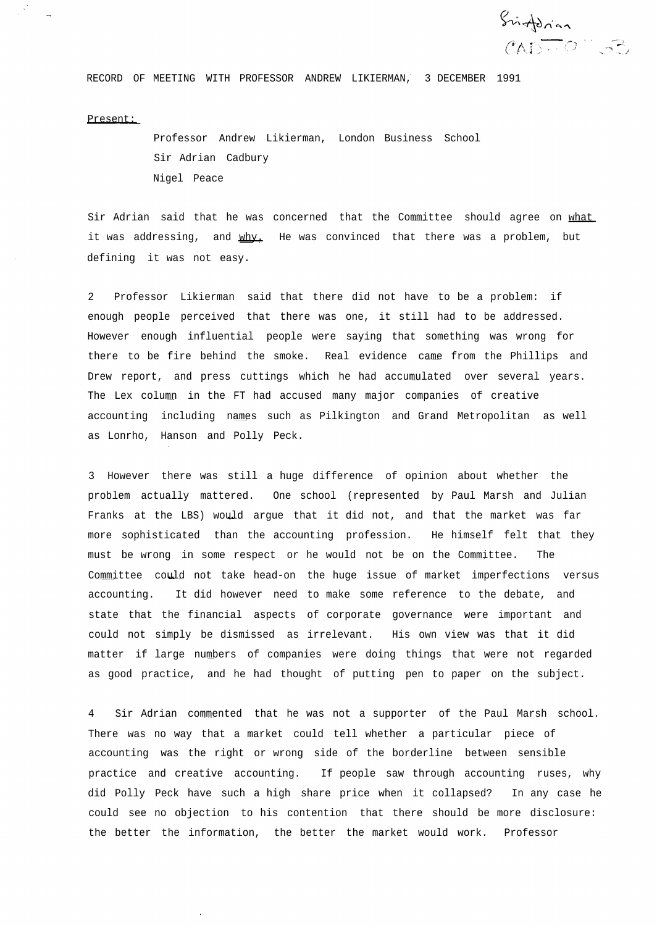Sinforian  $CAD = 0$  :  $53$ 

RECORD OF MEETING WITH PROFESSOR ANDREW LIKIERMAN, 3 DECEMBER 1991

## Present:

Professor Andrew Likierman, London Business School Sir Adrian Cadbury Nigel Peace

Sir Adrian said that he was concerned that the Committee should agree on what it was addressing, and why. He was convinced that there was a problem, but defining it was not easy.

2 Professor Likierman said that there did not have to be a problem: if enough people perceived that there was one, it still had to be addressed. However enough influential people were saying that something was wrong for there to be fire behind the smoke. Real evidence came from the Phillips and Drew report, and press cuttings which he had accumulated over several years. The Lex column in the FT had accused many major companies of creative accounting including names such as Pilkington and Grand Metropolitan as well as Lonrho, Hanson and Polly Peck.

3 However there was still a huge difference of opinion about whether the problem actually mattered. One school (represented by Paul Marsh and Julian Franks at the LBS) would argue that it did not, and that the market was far more sophisticated than the accounting profession. He himself felt that they must be wrong in some respect or he would not be on the Committee. The Committee could not take head-on the huge issue of market imperfections versus accounting. It did however need to make some reference to the debate, and state that the financial aspects of corporate governance were important and could not simply be dismissed as irrelevant. His own view was that it did matter if large numbers of companies were doing things that were not regarded as good practice, and he had thought of putting pen to paper on the subject.

4 Sir Adrian commented that he was not a supporter of the Paul Marsh school. There was no way that a market could tell whether a particular piece of accounting was the right or wrong side of the borderline between sensible practice and creative accounting. If people saw through accounting ruses, why did Polly Peck have such a high share price when it collapsed? In any case he could see no objection to his contention that there should be more disclosure: the better the information, the better the market would work. Professor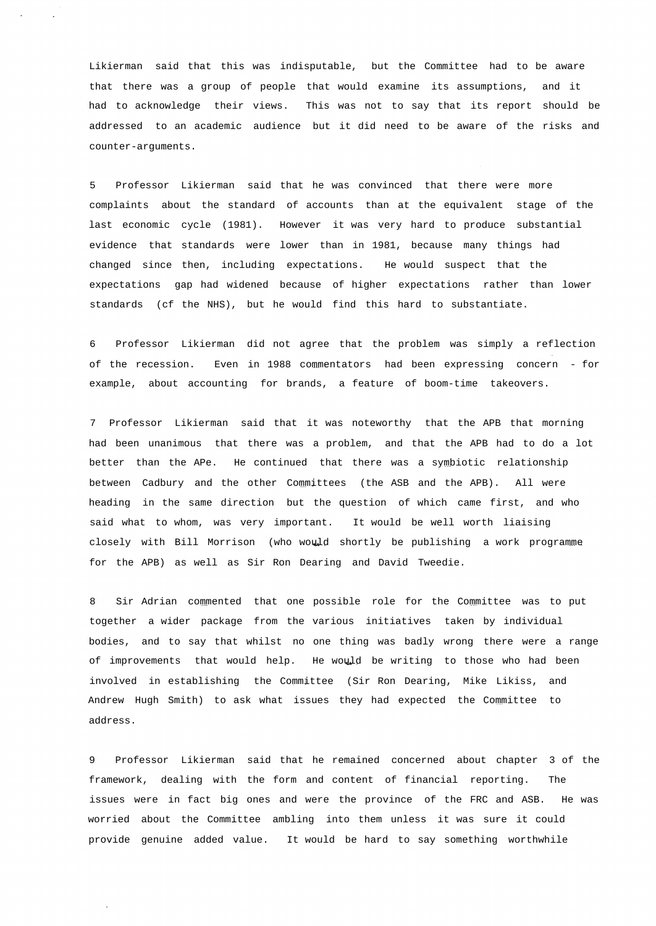Likierman said that this was indisputable, but the Committee had to be aware that there was a group of people that would examine its assumptions, and it had to acknowledge their views. This was not to say that its report should be addressed to an academic audience but it did need to be aware of the risks and counter-arguments.

5 Professor Likierman said that he was convinced that there were more complaints about the standard of accounts than at the equivalent stage of the last economic cycle (1981). However it was very hard to produce substantial evidence that standards were lower than in 1981, because many things had changed since then, including expectations. He would suspect that the expectations gap had widened because of higher expectations rather than lower standards (cf the NHS), but he would find this hard to substantiate.

6 Professor Likierman did not agree that the problem was simply a reflection of the recession. Even in 1988 commentators had been expressing concern - for example, about accounting for brands, a feature of boom-time takeovers.

7 Professor Likierman said that it was noteworthy that the APB that morning had been unanimous that there was a problem, and that the APB had to do a lot better than the APe. He continued that there was a symbiotic relationship between Cadbury and the other Committees (the ASB and the APB). All were heading in the same direction but the question of which came first, and who said what to whom, was very important. It would be well worth liaising closely with Bill Morrison (who would shortly be publishing a work programme for the APB) as well as Sir Ron Dearing and David Tweedie.

8 Sir Adrian commented that one possible role for the Committee was to put together a wider package from the various initiatives taken by individual bodies, and to say that whilst no one thing was badly wrong there were a range of improvements that would help. He would be writing to those who had been involved in establishing the Committee (Sir Ron Dearing, Mike Likiss, and Andrew Hugh Smith) to ask what issues they had expected the Committee to address.

9 Professor Likierman said that he remained concerned about chapter 3 of the framework, dealing with the form and content of financial reporting. The issues were in fact big ones and were the province of the FRC and ASB. He was worried about the Committee ambling into them unless it was sure it could provide genuine added value. It would be hard to say something worthwhile